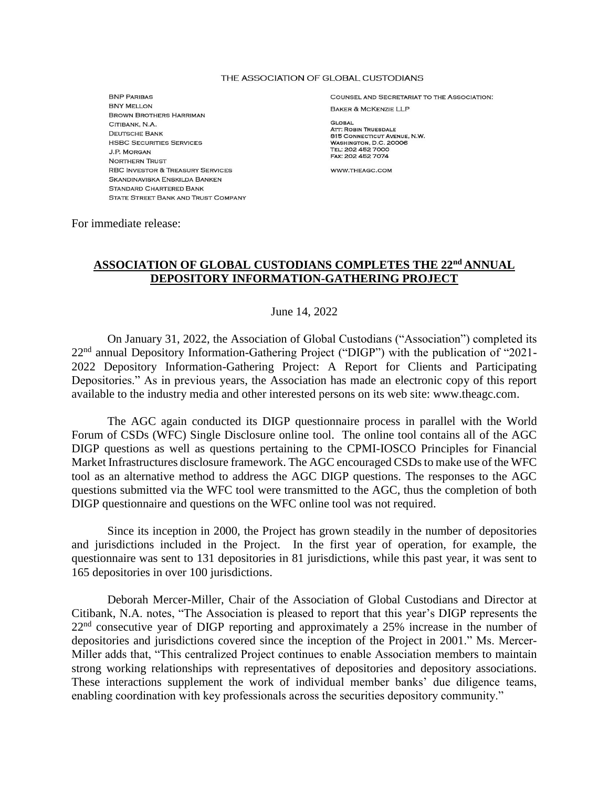## THE ASSOCIATION OF GLOBAL CUSTODIANS

**BNP PARIBAS BNY MELLON BROWN BROTHERS HARRIMAN** CITIBANK, N.A. **DEUTSCHE BANK HSBC SECURITIES SERVICES J.P. MORGAN NORTHERN TRUST RBC INVESTOR & TREASURY SERVICES** SKANDINAVISKA ENSKILDA BANKEN **STANDARD CHARTERED BANK** STATE STREET BANK AND TRUST COMPANY **COUNSEL AND SECRETARIAT TO THE ASSOCIATION: BAKER & MCKENZIE LLP** 

**GLOBAL ATT: ROBIN TRUESDALE** 815 CONNECTICUT AVENUE, N.W. WASHINGTON, D.C. 20006 TEL: 202 452 7000 FAX: 202 452 7074

WWW.THEAGC.COM

For immediate release:

## **ASSOCIATION OF GLOBAL CUSTODIANS COMPLETES THE 22nd ANNUAL DEPOSITORY INFORMATION-GATHERING PROJECT**

June 14, 2022

On January 31, 2022, the Association of Global Custodians ("Association") completed its 22nd annual Depository Information-Gathering Project ("DIGP") with the publication of "2021- 2022 Depository Information-Gathering Project: A Report for Clients and Participating Depositories." As in previous years, the Association has made an electronic copy of this report available to the industry media and other interested persons on its web site: [www.theagc.com.](http://www.theagc.com/)

The AGC again conducted its DIGP questionnaire process in parallel with the World Forum of CSDs (WFC) Single Disclosure online tool. The online tool contains all of the AGC DIGP questions as well as questions pertaining to the CPMI-IOSCO Principles for Financial Market Infrastructures disclosure framework. The AGC encouraged CSDs to make use of the WFC tool as an alternative method to address the AGC DIGP questions. The responses to the AGC questions submitted via the WFC tool were transmitted to the AGC, thus the completion of both DIGP questionnaire and questions on the WFC online tool was not required.

Since its inception in 2000, the Project has grown steadily in the number of depositories and jurisdictions included in the Project. In the first year of operation, for example, the questionnaire was sent to 131 depositories in 81 jurisdictions, while this past year, it was sent to 165 depositories in over 100 jurisdictions.

Deborah Mercer-Miller, Chair of the Association of Global Custodians and Director at Citibank, N.A. notes, "The Association is pleased to report that this year's DIGP represents the 22<sup>nd</sup> consecutive year of DIGP reporting and approximately a 25% increase in the number of depositories and jurisdictions covered since the inception of the Project in 2001." Ms. Mercer-Miller adds that, "This centralized Project continues to enable Association members to maintain strong working relationships with representatives of depositories and depository associations. These interactions supplement the work of individual member banks' due diligence teams, enabling coordination with key professionals across the securities depository community."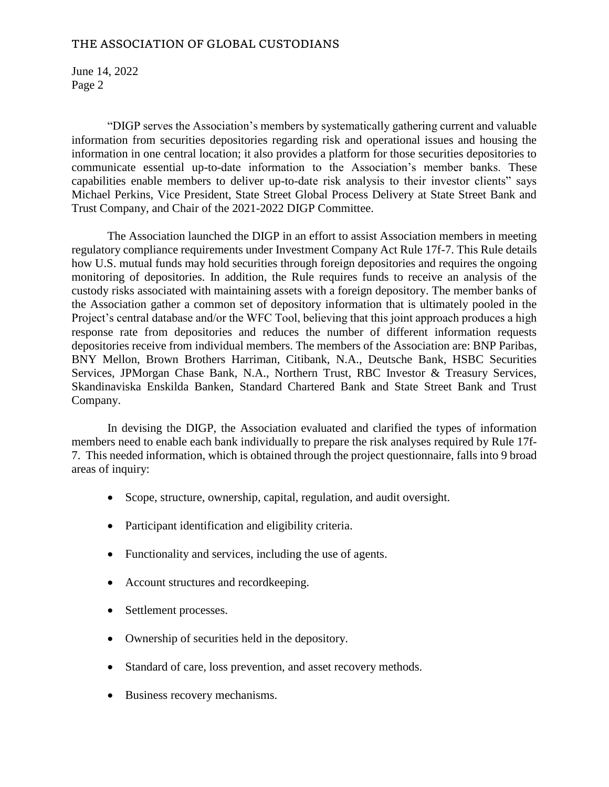## THE ASSOCIATION OF GLOBAL CUSTODIANS

June 14, 2022 Page 2

"DIGP serves the Association's members by systematically gathering current and valuable information from securities depositories regarding risk and operational issues and housing the information in one central location; it also provides a platform for those securities depositories to communicate essential up-to-date information to the Association's member banks. These capabilities enable members to deliver up-to-date risk analysis to their investor clients" says Michael Perkins, Vice President, State Street Global Process Delivery at State Street Bank and Trust Company, and Chair of the 2021-2022 DIGP Committee.

The Association launched the DIGP in an effort to assist Association members in meeting regulatory compliance requirements under Investment Company Act Rule 17f-7. This Rule details how U.S. mutual funds may hold securities through foreign depositories and requires the ongoing monitoring of depositories. In addition, the Rule requires funds to receive an analysis of the custody risks associated with maintaining assets with a foreign depository. The member banks of the Association gather a common set of depository information that is ultimately pooled in the Project's central database and/or the WFC Tool, believing that this joint approach produces a high response rate from depositories and reduces the number of different information requests depositories receive from individual members. The members of the Association are: BNP Paribas, BNY Mellon, Brown Brothers Harriman, Citibank, N.A., Deutsche Bank, HSBC Securities Services, JPMorgan Chase Bank, N.A., Northern Trust, RBC Investor & Treasury Services, Skandinaviska Enskilda Banken, Standard Chartered Bank and State Street Bank and Trust Company.

In devising the DIGP, the Association evaluated and clarified the types of information members need to enable each bank individually to prepare the risk analyses required by Rule 17f-7. This needed information, which is obtained through the project questionnaire, falls into 9 broad areas of inquiry:

- Scope, structure, ownership, capital, regulation, and audit oversight.
- Participant identification and eligibility criteria.
- Functionality and services, including the use of agents.
- Account structures and recordkeeping.
- Settlement processes.
- Ownership of securities held in the depository.
- Standard of care, loss prevention, and asset recovery methods.
- Business recovery mechanisms.